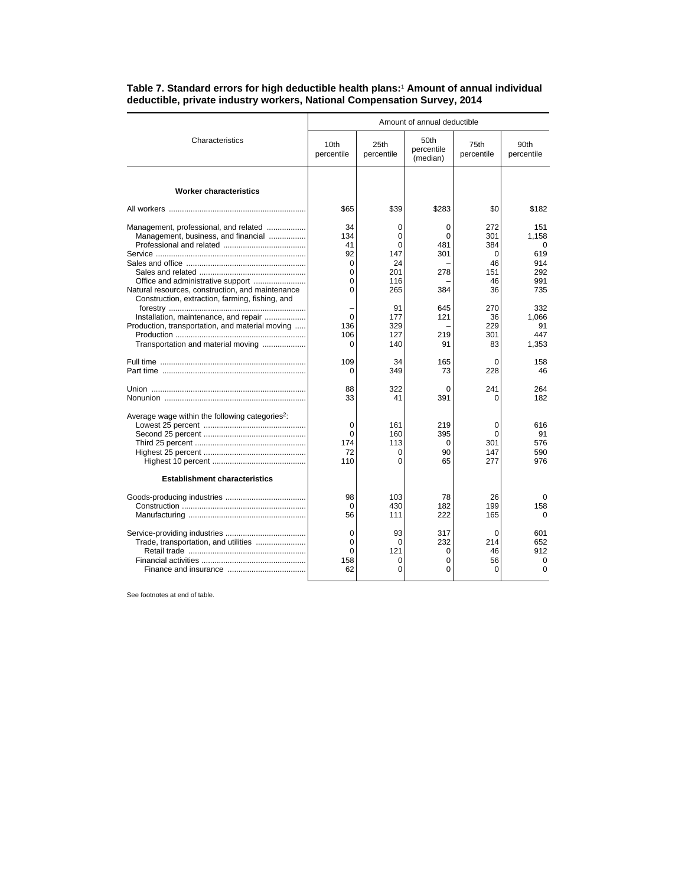|                                                                                                                                              | Amount of annual deductible                        |                                               |                                  |                                           |                                                      |  |
|----------------------------------------------------------------------------------------------------------------------------------------------|----------------------------------------------------|-----------------------------------------------|----------------------------------|-------------------------------------------|------------------------------------------------------|--|
| Characteristics                                                                                                                              | 10th<br>percentile                                 | 25th<br>percentile                            | 50th<br>percentile<br>(median)   | 75th<br>percentile                        | 90th<br>percentile                                   |  |
| <b>Worker characteristics</b>                                                                                                                |                                                    |                                               |                                  |                                           |                                                      |  |
|                                                                                                                                              | \$65                                               | \$39                                          | \$283                            | \$0                                       | \$182                                                |  |
| Management, professional, and related<br>Management, business, and financial                                                                 | 34<br>134<br>41<br>92<br>$\Omega$<br>0<br>$\Omega$ | 0<br>0<br>$\Omega$<br>147<br>24<br>201<br>116 | 0<br>0<br>481<br>301<br>278      | 272<br>301<br>384<br>0<br>46<br>151<br>46 | 151<br>1,158<br>$\Omega$<br>619<br>914<br>292<br>991 |  |
| Natural resources, construction, and maintenance<br>Construction, extraction, farming, fishing, and<br>Installation, maintenance, and repair | $\Omega$<br>$\Omega$                               | 265<br>91<br>177                              | 384<br>645<br>121                | 36<br>270<br>36                           | 735<br>332<br>1.066                                  |  |
| Production, transportation, and material moving<br>Transportation and material moving                                                        | 136<br>106<br>$\Omega$                             | 329<br>127<br>140                             | 219<br>91                        | 229<br>301<br>83                          | 91<br>447<br>1,353                                   |  |
|                                                                                                                                              | 109<br>$\Omega$                                    | 34<br>349                                     | 165<br>73                        | $\Omega$<br>228                           | 158<br>46                                            |  |
|                                                                                                                                              | 88<br>33                                           | 322<br>41                                     | 0<br>391                         | 241<br>0                                  | 264<br>182                                           |  |
| Average wage within the following categories <sup>2</sup> :                                                                                  | 0<br>$\Omega$<br>174<br>72<br>110                  | 161<br>160<br>113<br>0<br>$\Omega$            | 219<br>395<br>0<br>90<br>65      | 0<br>$\Omega$<br>301<br>147<br>277        | 616<br>91<br>576<br>590<br>976                       |  |
| <b>Establishment characteristics</b>                                                                                                         |                                                    |                                               |                                  |                                           |                                                      |  |
|                                                                                                                                              | 98<br>$\Omega$<br>56                               | 103<br>430<br>111                             | 78<br>182<br>222                 | 26<br>199<br>165                          | $\Omega$<br>158<br>0                                 |  |
| Trade, transportation, and utilities                                                                                                         | 0<br>$\Omega$<br>$\Omega$<br>158<br>62             | 93<br>0<br>121<br>$\Omega$<br>0               | 317<br>232<br>0<br>0<br>$\Omega$ | 0<br>214<br>46<br>56<br>0                 | 601<br>652<br>912<br>0<br>$\Omega$                   |  |

## **Table 7. Standard errors for high deductible health plans:**<sup>1</sup>  **Amount of annual individual deductible, private industry workers, National Compensation Survey, 2014**

See footnotes at end of table.